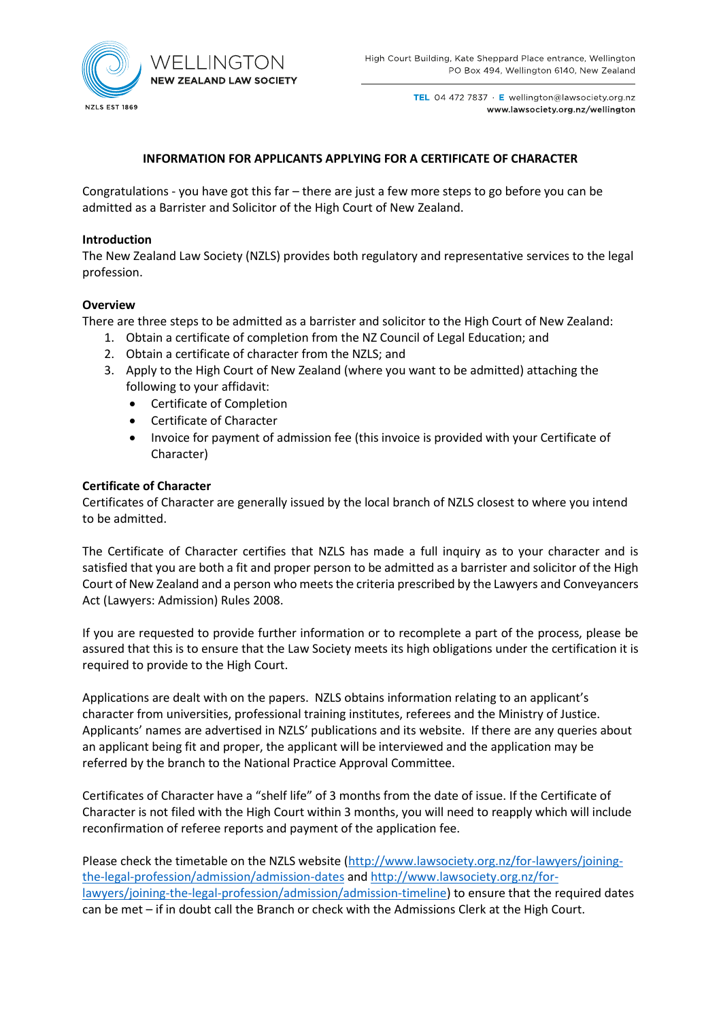

TEL 04 472 7837 · E wellington@lawsociety.org.nz www.lawsociety.org.nz/wellington

# **INFORMATION FOR APPLICANTS APPLYING FOR A CERTIFICATE OF CHARACTER**

Congratulations - you have got this far – there are just a few more steps to go before you can be admitted as a Barrister and Solicitor of the High Court of New Zealand.

### **Introduction**

The New Zealand Law Society (NZLS) provides both regulatory and representative services to the legal profession.

### **Overview**

There are three steps to be admitted as a barrister and solicitor to the High Court of New Zealand:

- 1. Obtain a certificate of completion from the NZ Council of Legal Education; and
- 2. Obtain a certificate of character from the NZLS; and
- 3. Apply to the High Court of New Zealand (where you want to be admitted) attaching the following to your affidavit:
	- Certificate of Completion
	- Certificate of Character
	- Invoice for payment of admission fee (this invoice is provided with your Certificate of Character)

### **Certificate of Character**

Certificates of Character are generally issued by the local branch of NZLS closest to where you intend to be admitted.

The Certificate of Character certifies that NZLS has made a full inquiry as to your character and is satisfied that you are both a fit and proper person to be admitted as a barrister and solicitor of the High Court of New Zealand and a person who meets the criteria prescribed by the Lawyers and Conveyancers Act (Lawyers: Admission) Rules 2008.

If you are requested to provide further information or to recomplete a part of the process, please be assured that this is to ensure that the Law Society meets its high obligations under the certification it is required to provide to the High Court.

Applications are dealt with on the papers. NZLS obtains information relating to an applicant's character from universities, professional training institutes, referees and the Ministry of Justice. Applicants' names are advertised in NZLS' publications and its website. If there are any queries about an applicant being fit and proper, the applicant will be interviewed and the application may be referred by the branch to the National Practice Approval Committee.

Certificates of Character have a "shelf life" of 3 months from the date of issue. If the Certificate of Character is not filed with the High Court within 3 months, you will need to reapply which will include reconfirmation of referee reports and payment of the application fee.

Please check the timetable on the NZLS website [\(http://www.lawsociety.org.nz/for-lawyers/joining](http://www.lawsociety.org.nz/for-lawyers/joining-the-legal-profession/admission/admission-dates)[the-legal-profession/admission/admission-dates](http://www.lawsociety.org.nz/for-lawyers/joining-the-legal-profession/admission/admission-dates) and [http://www.lawsociety.org.nz/for](http://www.lawsociety.org.nz/for-lawyers/joining-the-legal-profession/admission/admission-timeline)[lawyers/joining-the-legal-profession/admission/admission-timeline\)](http://www.lawsociety.org.nz/for-lawyers/joining-the-legal-profession/admission/admission-timeline) to ensure that the required dates can be met – if in doubt call the Branch or check with the Admissions Clerk at the High Court.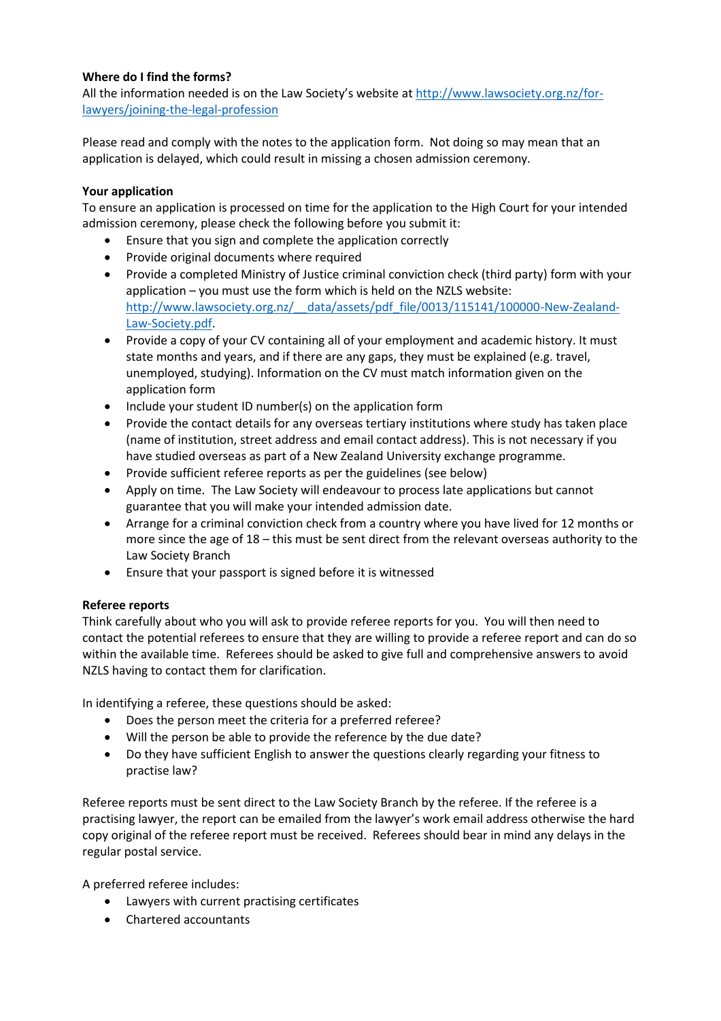# **Where do I find the forms?**

All the information needed is on the Law Society's website at [http://www.lawsociety.org.nz/for](http://www.lawsociety.org.nz/for-lawyers/joining-the-legal-profession)[lawyers/joining-the-legal-profession](http://www.lawsociety.org.nz/for-lawyers/joining-the-legal-profession)

Please read and comply with the notes to the application form. Not doing so may mean that an application is delayed, which could result in missing a chosen admission ceremony.

### **Your application**

To ensure an application is processed on time for the application to the High Court for your intended admission ceremony, please check the following before you submit it:

- Ensure that you sign and complete the application correctly
- Provide original documents where required
- Provide a completed Ministry of Justice criminal conviction check (third party) form with your application – you must use the form which is held on the NZLS website: http://www.lawsociety.org.nz/ data/assets/pdf file/0013/115141/100000-New-Zealand-[Law-Society.pdf.](http://www.lawsociety.org.nz/__data/assets/pdf_file/0013/115141/100000-New-Zealand-Law-Society.pdf)
- Provide a copy of your CV containing all of your employment and academic history. It must state months and years, and if there are any gaps, they must be explained (e.g. travel, unemployed, studying). Information on the CV must match information given on the application form
- Include your student ID number(s) on the application form
- Provide the contact details for any overseas tertiary institutions where study has taken place (name of institution, street address and email contact address). This is not necessary if you have studied overseas as part of a New Zealand University exchange programme.
- Provide sufficient referee reports as per the guidelines (see below)
- Apply on time. The Law Society will endeavour to process late applications but cannot guarantee that you will make your intended admission date.
- Arrange for a criminal conviction check from a country where you have lived for 12 months or more since the age of 18 – this must be sent direct from the relevant overseas authority to the Law Society Branch
- Ensure that your passport is signed before it is witnessed

# **Referee reports**

Think carefully about who you will ask to provide referee reports for you. You will then need to contact the potential referees to ensure that they are willing to provide a referee report and can do so within the available time. Referees should be asked to give full and comprehensive answers to avoid NZLS having to contact them for clarification.

In identifying a referee, these questions should be asked:

- Does the person meet the criteria for a preferred referee?
- Will the person be able to provide the reference by the due date?
- Do they have sufficient English to answer the questions clearly regarding your fitness to practise law?

Referee reports must be sent direct to the Law Society Branch by the referee. If the referee is a practising lawyer, the report can be emailed from the lawyer's work email address otherwise the hard copy original of the referee report must be received. Referees should bear in mind any delays in the regular postal service.

A preferred referee includes:

- Lawyers with current practising certificates
- Chartered accountants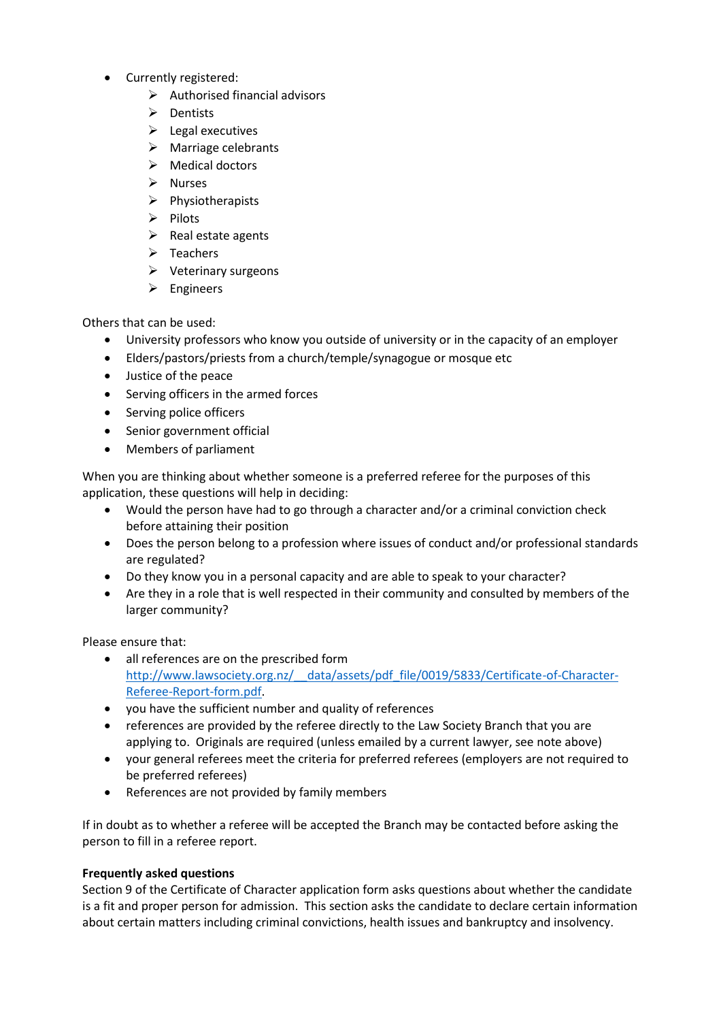- Currently registered:
	- $\triangleright$  Authorised financial advisors
	- ➢ Dentists
	- $\blacktriangleright$  Legal executives
	- ➢ Marriage celebrants
	- ➢ Medical doctors
	- ➢ Nurses
	- ➢ Physiotherapists
	- ➢ Pilots
	- $\triangleright$  Real estate agents
	- ➢ Teachers
	- ➢ Veterinary surgeons
	- ➢ Engineers

Others that can be used:

- University professors who know you outside of university or in the capacity of an employer
- Elders/pastors/priests from a church/temple/synagogue or mosque etc
- Justice of the peace
- Serving officers in the armed forces
- Serving police officers
- Senior government official
- Members of parliament

When you are thinking about whether someone is a preferred referee for the purposes of this application, these questions will help in deciding:

- Would the person have had to go through a character and/or a criminal conviction check before attaining their position
- Does the person belong to a profession where issues of conduct and/or professional standards are regulated?
- Do they know you in a personal capacity and are able to speak to your character?
- Are they in a role that is well respected in their community and consulted by members of the larger community?

Please ensure that:

- all references are on the prescribed form http://www.lawsociety.org.nz/ data/assets/pdf file/0019/5833/Certificate-of-Character-[Referee-Report-form.pdf.](http://www.lawsociety.org.nz/__data/assets/pdf_file/0019/5833/Certificate-of-Character-Referee-Report-form.pdf)
- you have the sufficient number and quality of references
- references are provided by the referee directly to the Law Society Branch that you are applying to. Originals are required (unless emailed by a current lawyer, see note above)
- your general referees meet the criteria for preferred referees (employers are not required to be preferred referees)
- References are not provided by family members

If in doubt as to whether a referee will be accepted the Branch may be contacted before asking the person to fill in a referee report.

# **Frequently asked questions**

Section 9 of the Certificate of Character application form asks questions about whether the candidate is a fit and proper person for admission. This section asks the candidate to declare certain information about certain matters including criminal convictions, health issues and bankruptcy and insolvency.